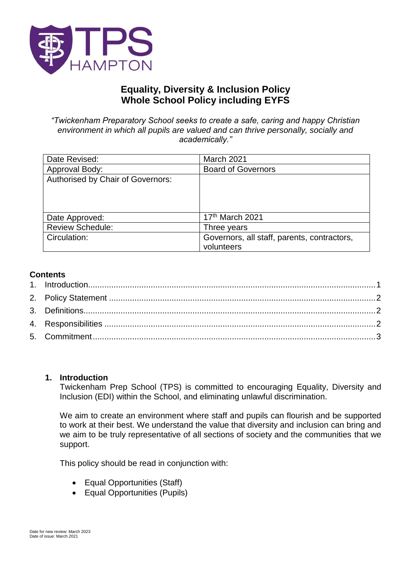

# **Equality, Diversity & Inclusion Policy Whole School Policy including EYFS**

*"Twickenham Preparatory School seeks to create a safe, caring and happy Christian environment in which all pupils are valued and can thrive personally, socially and academically."*

| Date Revised:                     | March 2021                                                |
|-----------------------------------|-----------------------------------------------------------|
| Approval Body:                    | <b>Board of Governors</b>                                 |
| Authorised by Chair of Governors: |                                                           |
| Date Approved:                    | 17th March 2021                                           |
| <b>Review Schedule:</b>           | Three years                                               |
| Circulation:                      | Governors, all staff, parents, contractors,<br>volunteers |

## **Contents**

#### <span id="page-0-0"></span>**1. Introduction**

Twickenham Prep School (TPS) is committed to encouraging Equality, Diversity and Inclusion (EDI) within the School, and eliminating unlawful discrimination.

We aim to create an environment where staff and pupils can flourish and be supported to work at their best. We understand the value that diversity and inclusion can bring and we aim to be truly representative of all sections of society and the communities that we support.

This policy should be read in conjunction with:

- Equal Opportunities (Staff)
- Equal Opportunities (Pupils)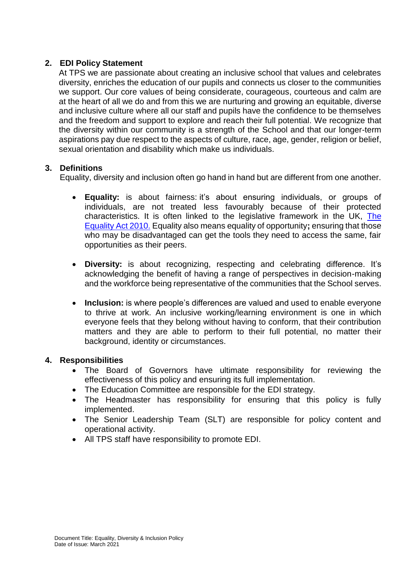## <span id="page-1-0"></span>**2. EDI Policy Statement**

At TPS we are passionate about creating an inclusive school that values and celebrates diversity, enriches the education of our pupils and connects us closer to the communities we support. Our core values of being considerate, courageous, courteous and calm are at the heart of all we do and from this we are nurturing and growing an equitable, diverse and inclusive culture where all our staff and pupils have the confidence to be themselves and the freedom and support to explore and reach their full potential. We recognize that the diversity within our community is a strength of the School and that our longer-term aspirations pay due respect to the aspects of culture, race, age, gender, religion or belief, sexual orientation and disability which make us individuals.

## <span id="page-1-1"></span>**3. Definitions**

Equality, diversity and inclusion often go hand in hand but are different from one another.

- **Equality:** is about fairness: it's about ensuring individuals, or groups of individuals, are not treated less favourably because of their protected characteristics. It is often linked to the legislative framework in the UK, [The](https://www.gov.uk/guidance/equality-act-2010-guidance)  [Equality Act 2010.](https://www.gov.uk/guidance/equality-act-2010-guidance) Equality also means equality of opportunity**;** ensuring that those who may be disadvantaged can get the tools they need to access the same, fair opportunities as their peers.
- **Diversity:** is about recognizing, respecting and celebrating difference. It's acknowledging the benefit of having a range of perspectives in decision-making and the workforce being representative of the communities that the School serves.
- **Inclusion:** is where people's differences are valued and used to enable everyone to thrive at work. An inclusive working/learning environment is one in which everyone feels that they belong without having to conform, that their contribution matters and they are able to perform to their full potential, no matter their background, identity or circumstances.

## <span id="page-1-2"></span>**4. Responsibilities**

- The Board of Governors have ultimate responsibility for reviewing the effectiveness of this policy and ensuring its full implementation.
- The Education Committee are responsible for the EDI strategy.
- The Headmaster has responsibility for ensuring that this policy is fully implemented.
- The Senior Leadership Team (SLT) are responsible for policy content and operational activity.
- All TPS staff have responsibility to promote EDI.